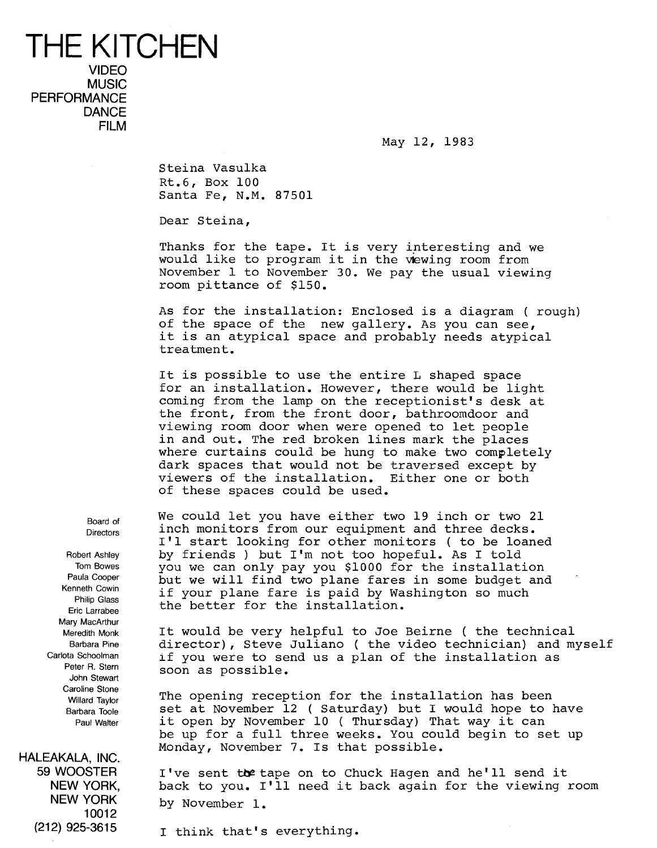## THE KITCHEN VIDEO **MUSIC PERFORMANCE DANCE** FILM

May 12, 1983

Steina Vasulka Rt .6, Box 100 Santa Fe, N.M. 87501

Dear Steina,

Thanks for the tape. It is very interesting and we would like to program it in the viewing room from November 1 to November 30. We pay the usual viewing room pittance of \$150 .

As for the installation: Enclosed is a diagram (rough) of the space of the new gallery. As you can see, it is an atypical space and probably needs atypical treatment.

It is possible to use the entire L shaped space for an installation. However, there would be light coming from the lamp on the receptionist's desk at the front, from the front door, bathroomdoor and viewing room door when were opened to let people in and out. The red broken lines mark the places where curtains could be hung to make two completely dark spaces that would not be traversed except by viewers of the installation. Either one or both of these spaces could be used.

We could let you have either two 19 inch or two 21 inch monitors from our equipment and three decks . I'1 start looking for other monitors ( to be loaned by friends ) but I'm not too hopeful. As I told you we can only pay you \$1000 for the installation but we will find two plane fares in some budget and if your plane fare is paid by Washington so much the better for the installation.

It would be very helpful to Joe Beirne ( the technical director), Steve Juliano ( the video technician) and myself if you were to send us a plan of the installation as soon as possible.

The opening reception for the installation has been set at November 12 ( Saturday) but <sup>I</sup> would hope to have it open by November 10 ( Thursday) That way it can be up for a full three weeks. You could begin to set up Monday, November 7. Is that possible.

WOOSTER I've sent to tape on to Chuck Hagen and he'll send it NEW YORK. It back to you. I'll need it back again for the viewing NEW YORK, back to you. I'll need it back again for the viewing room<br>NEW YORK by November 1 by November 1.

I think that's everything.

Board of **Directors** 

Robert Ashley Tom Bowes Paula Cooper Kenneth Cowin Philip Glass Eric Larrabee Mary MacArthur Meredith Monk Barbara Pine Carlota Schoolman Peter R. Stern John Stewart Caroline Stone Willard Taylor Barbara Toole Paul Walter

HALEAKALA, INC. 10012 (212) 925-3615 1